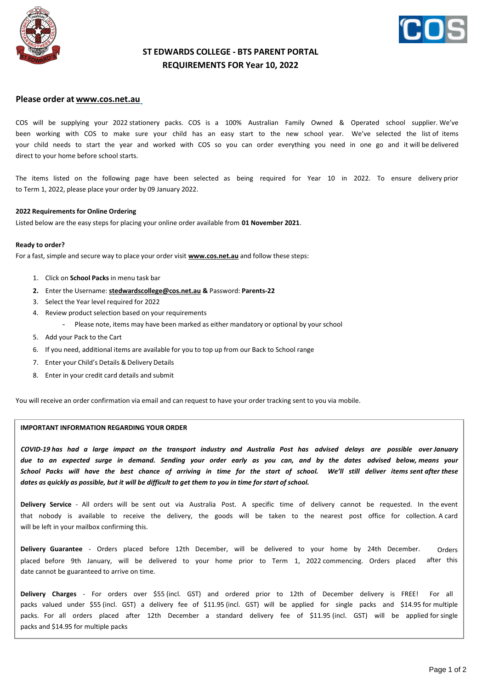



## **ST EDWARDS COLLEGE - BTS PARENT PORTAL REQUIREMENTS FOR Year 10, 2022**

### **Please order at [www.cos.net.au](http://www.cos.net.au/)**

COS will be supplying your 2022 stationery packs. COS is a 100% Australian Family Owned & Operated school supplier. We've been working with COS to make sure your child has an easy start to the new school year. We've selected the list of items your child needs to start the year and worked with COS so you can order everything you need in one go and it will be delivered direct to your home before school starts.

The items listed on the following page have been selected as being required for Year 10 in 2022. To ensure delivery prior to Term 1, 2022, please place your order by 09 January 2022.

#### **2022 Requirements for Online Ordering**

Listed below are the easy steps for placing your online order available from **01 November 2021**.

#### **Ready to order?**

For a fast, simple and secure way to place your order visit **[www.cos.net.au](http://www.cos.net.au/)** and follow these steps:

- 1. Click on **School Packs** in menu task bar
- **2.** Enter the Username: **[stedwardscollege@cos.net.au](mailto:stedwardscollege@cos.net.au) &** Password: **Parents-22**
- 3. Select the Year level required for 2022
- 4. Review product selection based on your requirements
	- Please note, items may have been marked as either mandatory or optional by your school
- 5. Add your Pack to the Cart
- 6. If you need, additional items are available for you to top up from our Back to School range
- 7. Enter your Child's Details & Delivery Details
- 8. Enter in your credit card details and submit

You will receive an order confirmation via email and can request to have your order tracking sent to you via mobile.

#### **IMPORTANT INFORMATION REGARDING YOUR ORDER**

*COVID-19 has had a large impact on the transport industry and Australia Post has advised delays are possible over January due to an expected surge in demand. Sending your order early as you can, and by the dates advised below, means your School Packs will have the best chance of arriving in time for the start of school. We'll still deliver items sent after these* dates as quickly as possible, but it will be difficult to get them to you in time for start of school.

**Delivery Service** - All orders will be sent out via Australia Post. A specific time of delivery cannot be requested. In the event that nobody is available to receive the delivery, the goods will be taken to the nearest post office for collection. A card will be left in your mailbox confirming this.

**Delivery Guarantee** - Orders placed before 12th December, will be delivered to your home by 24th December. placed before 9th January, will be delivered to your home prior to Term 1, 2022 commencing. Orders placed date cannot be guaranteed to arrive on time. Orders after this

**Delivery Charges** - For orders over \$55 (incl. GST) and ordered prior to 12th of December delivery is FREE! For all packs valued under \$55 (incl. GST) a delivery fee of \$11.95 (incl. GST) will be applied for single packs and \$14.95 for multiple packs. For all orders placed after 12th December a standard delivery fee of \$11.95 (incl. GST) will be applied for single packs and \$14.95 for multiple packs